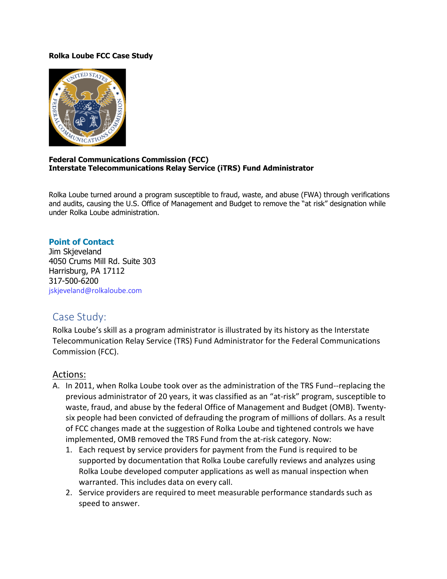#### **Rolka Loube FCC Case Study**



#### **Federal Communications Commission (FCC) Interstate Telecommunications Relay Service (iTRS) Fund Administrator**

Rolka Loube turned around a program susceptible to fraud, waste, and abuse (FWA) through verifications and audits, causing the U.S. Office of Management and Budget to remove the "at risk" designation while under Rolka Loube administration.

#### **Point of Contact**

Jim Skjeveland 4050 Crums Mill Rd. Suite 303 Harrisburg, PA 17112 317-500-6200 jskjeveland@rolkaloube.com

## Case Study:

Rolka Loube's skill as a program administrator is illustrated by its history as the Interstate Telecommunication Relay Service (TRS) Fund Administrator for the Federal Communications Commission (FCC).

### Actions:

- A. In 2011, when Rolka Loube took over as the administration of the TRS Fund--replacing the previous administrator of 20 years, it was classified as an "at-risk" program, susceptible to waste, fraud, and abuse by the federal Office of Management and Budget (OMB). Twentysix people had been convicted of defrauding the program of millions of dollars. As a result of FCC changes made at the suggestion of Rolka Loube and tightened controls we have implemented, OMB removed the TRS Fund from the at-risk category. Now:
	- 1. Each request by service providers for payment from the Fund is required to be supported by documentation that Rolka Loube carefully reviews and analyzes using Rolka Loube developed computer applications as well as manual inspection when warranted. This includes data on every call.
	- 2. Service providers are required to meet measurable performance standards such as speed to answer.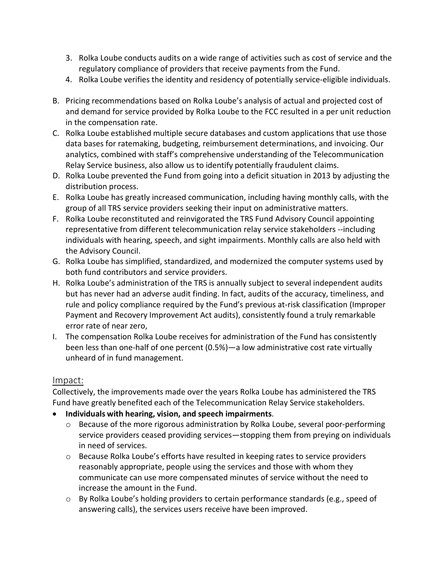- 3. Rolka Loube conducts audits on a wide range of activities such as cost of service and the regulatory compliance of providers that receive payments from the Fund.
- 4. Rolka Loube verifies the identity and residency of potentially service-eligible individuals.
- B. Pricing recommendations based on Rolka Loube's analysis of actual and projected cost of and demand for service provided by Rolka Loube to the FCC resulted in a per unit reduction in the compensation rate.
- C. Rolka Loube established multiple secure databases and custom applications that use those data bases for ratemaking, budgeting, reimbursement determinations, and invoicing. Our analytics, combined with staff's comprehensive understanding of the Telecommunication Relay Service business, also allow us to identify potentially fraudulent claims.
- D. Rolka Loube prevented the Fund from going into a deficit situation in 2013 by adjusting the distribution process.
- E. Rolka Loube has greatly increased communication, including having monthly calls, with the group of all TRS service providers seeking their input on administrative matters.
- F. Rolka Loube reconstituted and reinvigorated the TRS Fund Advisory Council appointing representative from different telecommunication relay service stakeholders --including individuals with hearing, speech, and sight impairments. Monthly calls are also held with the Advisory Council.
- G. Rolka Loube has simplified, standardized, and modernized the computer systems used by both fund contributors and service providers.
- H. Rolka Loube's administration of the TRS is annually subject to several independent audits but has never had an adverse audit finding. In fact, audits of the accuracy, timeliness, and rule and policy compliance required by the Fund's previous at-risk classification (Improper Payment and Recovery Improvement Act audits), consistently found a truly remarkable error rate of near zero,
- I. The compensation Rolka Loube receives for administration of the Fund has consistently been less than one-half of one percent (0.5%)—a low administrative cost rate virtually unheard of in fund management.

### Impact:

Collectively, the improvements made over the years Rolka Loube has administered the TRS Fund have greatly benefited each of the Telecommunication Relay Service stakeholders.

- **Individuals with hearing, vision, and speech impairments**.
	- o Because of the more rigorous administration by Rolka Loube, several poor-performing service providers ceased providing services—stopping them from preying on individuals in need of services.
	- $\circ$  Because Rolka Loube's efforts have resulted in keeping rates to service providers reasonably appropriate, people using the services and those with whom they communicate can use more compensated minutes of service without the need to increase the amount in the Fund.
	- $\circ$  By Rolka Loube's holding providers to certain performance standards (e.g., speed of answering calls), the services users receive have been improved.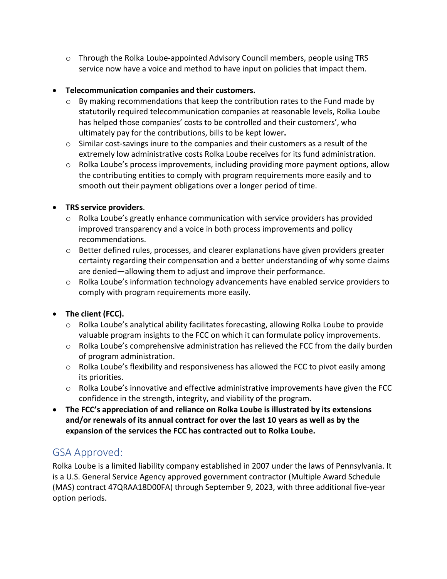$\circ$  Through the Rolka Loube-appointed Advisory Council members, people using TRS service now have a voice and method to have input on policies that impact them.

### • **Telecommunication companies and their customers.**

- $\circ$  By making recommendations that keep the contribution rates to the Fund made by statutorily required telecommunication companies at reasonable levels, Rolka Loube has helped those companies' costs to be controlled and their customers', who ultimately pay for the contributions, bills to be kept lower**.**
- $\circ$  Similar cost-savings inure to the companies and their customers as a result of the extremely low administrative costs Rolka Loube receives for its fund administration.
- o Rolka Loube's process improvements, including providing more payment options, allow the contributing entities to comply with program requirements more easily and to smooth out their payment obligations over a longer period of time.

## • **TRS service providers**.

- $\circ$  Rolka Loube's greatly enhance communication with service providers has provided improved transparency and a voice in both process improvements and policy recommendations.
- $\circ$  Better defined rules, processes, and clearer explanations have given providers greater certainty regarding their compensation and a better understanding of why some claims are denied—allowing them to adjust and improve their performance.
- $\circ$  Rolka Loube's information technology advancements have enabled service providers to comply with program requirements more easily.

## • **The client (FCC).**

- o Rolka Loube's analytical ability facilitates forecasting, allowing Rolka Loube to provide valuable program insights to the FCC on which it can formulate policy improvements.
- o Rolka Loube's comprehensive administration has relieved the FCC from the daily burden of program administration.
- $\circ$  Rolka Loube's flexibility and responsiveness has allowed the FCC to pivot easily among its priorities.
- $\circ$  Rolka Loube's innovative and effective administrative improvements have given the FCC confidence in the strength, integrity, and viability of the program.
- **The FCC's appreciation of and reliance on Rolka Loube is illustrated by its extensions and/or renewals of its annual contract for over the last 10 years as well as by the expansion of the services the FCC has contracted out to Rolka Loube.**

# GSA Approved:

Rolka Loube is a limited liability company established in 2007 under the laws of Pennsylvania. It is a U.S. General Service Agency approved government contractor (Multiple Award Schedule (MAS) contract 47QRAA18D00FA) through September 9, 2023, with three additional five-year option periods.